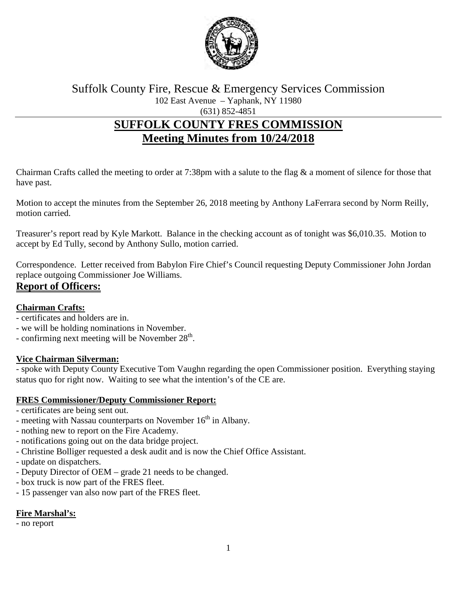

Suffolk County Fire, Rescue & Emergency Services Commission 102 East Avenue – Yaphank, NY 11980

(631) 852-4851

# **SUFFOLK COUNTY FRES COMMISSION Meeting Minutes from 10/24/2018**

Chairman Crafts called the meeting to order at 7:38pm with a salute to the flag & a moment of silence for those that have past.

Motion to accept the minutes from the September 26, 2018 meeting by Anthony LaFerrara second by Norm Reilly, motion carried.

Treasurer's report read by Kyle Markott. Balance in the checking account as of tonight was \$6,010.35. Motion to accept by Ed Tully, second by Anthony Sullo, motion carried.

Correspondence. Letter received from Babylon Fire Chief's Council requesting Deputy Commissioner John Jordan replace outgoing Commissioner Joe Williams.

## **Report of Officers:**

#### **Chairman Crafts:**

- certificates and holders are in.
- we will be holding nominations in November.
- confirming next meeting will be November  $28<sup>th</sup>$ .

#### **Vice Chairman Silverman:**

- spoke with Deputy County Executive Tom Vaughn regarding the open Commissioner position. Everything staying status quo for right now. Waiting to see what the intention's of the CE are.

#### **FRES Commissioner/Deputy Commissioner Report:**

- certificates are being sent out.
- meeting with Nassau counterparts on November  $16<sup>th</sup>$  in Albany.
- nothing new to report on the Fire Academy.
- notifications going out on the data bridge project.
- Christine Bolliger requested a desk audit and is now the Chief Office Assistant.
- update on dispatchers.
- Deputy Director of OEM grade 21 needs to be changed.
- box truck is now part of the FRES fleet.
- 15 passenger van also now part of the FRES fleet.

#### **Fire Marshal's:**

- no report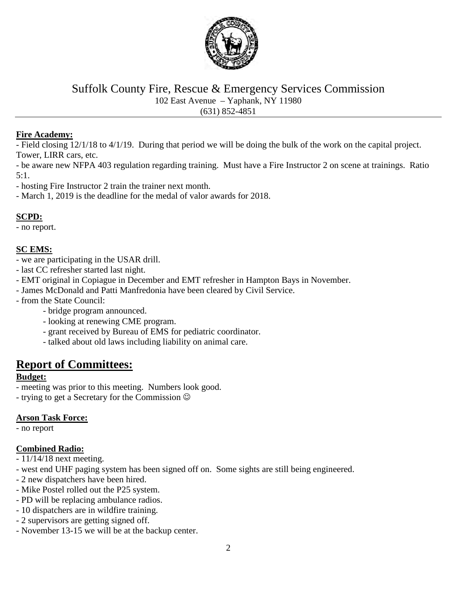

Suffolk County Fire, Rescue & Emergency Services Commission 102 East Avenue – Yaphank, NY 11980

(631) 852-4851

#### **Fire Academy:**

- Field closing 12/1/18 to 4/1/19. During that period we will be doing the bulk of the work on the capital project. Tower, LIRR cars, etc.

- be aware new NFPA 403 regulation regarding training. Must have a Fire Instructor 2 on scene at trainings. Ratio 5:1.

- hosting Fire Instructor 2 train the trainer next month.

- March 1, 2019 is the deadline for the medal of valor awards for 2018.

#### **SCPD:**

- no report.

#### **SC EMS:**

- we are participating in the USAR drill.
- last CC refresher started last night.
- EMT original in Copiague in December and EMT refresher in Hampton Bays in November.
- James McDonald and Patti Manfredonia have been cleared by Civil Service.
- from the State Council:
	- bridge program announced.
	- looking at renewing CME program.
	- grant received by Bureau of EMS for pediatric coordinator.
	- talked about old laws including liability on animal care.

# **Report of Committees:**

#### **Budget:**

- meeting was prior to this meeting. Numbers look good.
- trying to get a Secretary for the Commission

#### **Arson Task Force:**

- no report

#### **Combined Radio:**

- 11/14/18 next meeting.
- west end UHF paging system has been signed off on. Some sights are still being engineered.
- 2 new dispatchers have been hired.
- Mike Postel rolled out the P25 system.
- PD will be replacing ambulance radios.
- 10 dispatchers are in wildfire training.
- 2 supervisors are getting signed off.
- November 13-15 we will be at the backup center.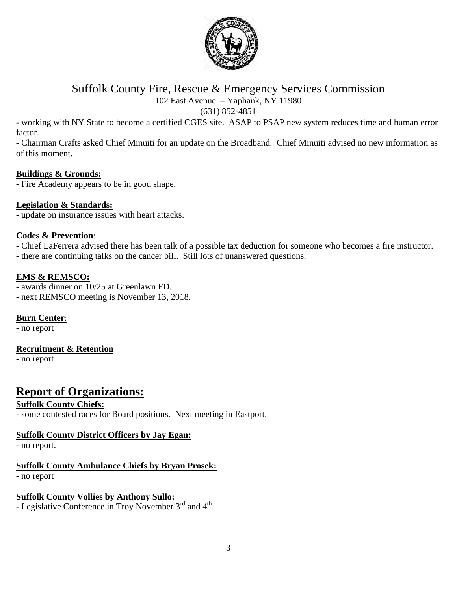

### Suffolk County Fire, Rescue & Emergency Services Commission 102 East Avenue – Yaphank, NY 11980

(631) 852-4851

- working with NY State to become a certified CGES site. ASAP to PSAP new system reduces time and human error factor.

- Chairman Crafts asked Chief Minuiti for an update on the Broadband. Chief Minuiti advised no new information as of this moment.

#### **Buildings & Grounds:**

- Fire Academy appears to be in good shape.

#### **Legislation & Standards:**

- update on insurance issues with heart attacks.

#### **Codes & Prevention**:

- Chief LaFerrera advised there has been talk of a possible tax deduction for someone who becomes a fire instructor.

- there are continuing talks on the cancer bill. Still lots of unanswered questions.

#### **EMS & REMSCO:**

- awards dinner on 10/25 at Greenlawn FD.

- next REMSCO meeting is November 13, 2018.

#### **Burn Center**:

- no report

#### **Recruitment & Retention**

- no report

# **Report of Organizations:**

#### **Suffolk County Chiefs:**

- some contested races for Board positions. Next meeting in Eastport.

#### **Suffolk County District Officers by Jay Egan:**

- no report.

#### **Suffolk County Ambulance Chiefs by Bryan Prosek:**

- no report

#### **Suffolk County Vollies by Anthony Sullo:**

- Legislative Conference in Troy November 3<sup>rd</sup> and 4<sup>th</sup>.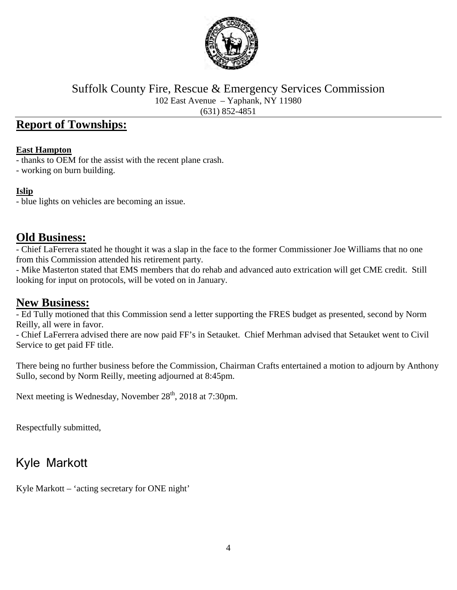

Suffolk County Fire, Rescue & Emergency Services Commission 102 East Avenue – Yaphank, NY 11980 (631) 852-4851

# **Report of Townships:**

#### **East Hampton**

- thanks to OEM for the assist with the recent plane crash.

- working on burn building.

#### **Islip**

- blue lights on vehicles are becoming an issue.

## **Old Business:**

- Chief LaFerrera stated he thought it was a slap in the face to the former Commissioner Joe Williams that no one from this Commission attended his retirement party.

- Mike Masterton stated that EMS members that do rehab and advanced auto extrication will get CME credit. Still looking for input on protocols, will be voted on in January.

# **New Business:**

- Ed Tully motioned that this Commission send a letter supporting the FRES budget as presented, second by Norm Reilly, all were in favor.

- Chief LaFerrera advised there are now paid FF's in Setauket. Chief Merhman advised that Setauket went to Civil Service to get paid FF title.

There being no further business before the Commission, Chairman Crafts entertained a motion to adjourn by Anthony Sullo, second by Norm Reilly, meeting adjourned at 8:45pm.

Next meeting is Wednesday, November 28<sup>th</sup>, 2018 at 7:30pm.

Respectfully submitted,

# Kyle Markott

Kyle Markott – 'acting secretary for ONE night'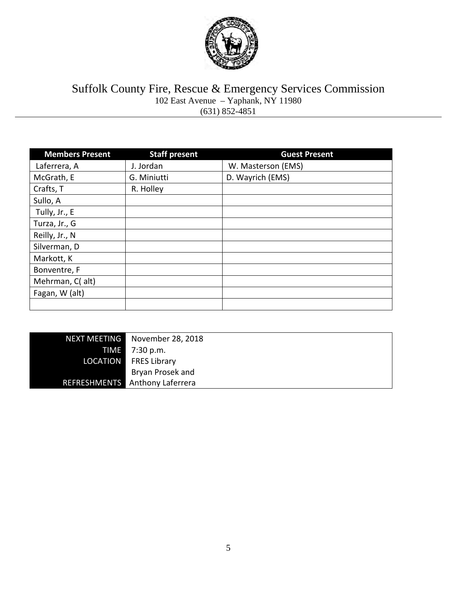

#### Suffolk County Fire, Rescue & Emergency Services Commission 102 East Avenue – Yaphank, NY 11980 (631) 852-4851

| <b>Members Present</b> | <b>Staff present</b> | <b>Guest Present</b> |
|------------------------|----------------------|----------------------|
| Laferrera, A           | J. Jordan            | W. Masterson (EMS)   |
| McGrath, E             | G. Miniutti          | D. Wayrich (EMS)     |
| Crafts, T              | R. Holley            |                      |
| Sullo, A               |                      |                      |
| Tully, Jr., E          |                      |                      |
| Turza, Jr., G          |                      |                      |
| Reilly, Jr., N         |                      |                      |
| Silverman, D           |                      |                      |
| Markott, K             |                      |                      |
| Bonventre, F           |                      |                      |
| Mehrman, C( alt)       |                      |                      |
| Fagan, W (alt)         |                      |                      |
|                        |                      |                      |

| <b>NEXT MEETING</b> | November 28, 2018                     |
|---------------------|---------------------------------------|
| <b>TIME</b>         | 7:30 p.m.                             |
| <b>LOCATION</b>     | <b>FRES Library</b>                   |
|                     | Bryan Prosek and                      |
|                     | <b>REFRESHMENTS</b> Anthony Laferrera |